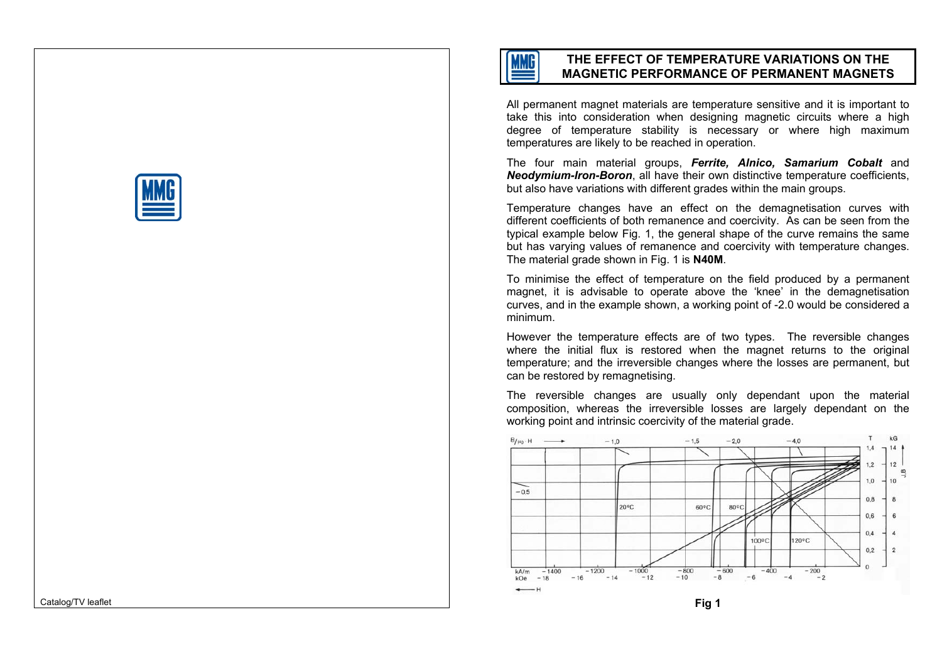

# **THE EFFECT OF TEMPERATURE VARIATIONS ON THE MAGNETIC PERFORMANCE OF PERMANENT MAGNETS**

All permanent magnet materials are temperature sensitive and it is important to take this into consideration when designing magnetic circuits where a high degree of t emperature stability is necessary or where high maximu mtemperatures are likely to be rea ched in operation.

The four m ain m aterial groups, *Ferrite, Alnico, Samarium Cobalt* and **Neodymium-Iron-Boron**, all have their own distinctive temperature coefficients, but also have variations with different grades within the main groups.

Temperature changes h ave an effect on the d emagnetisation curves with different coefficients of b oth remanence and coercivity. As can b e seen from the typical example below Fig. 1, the general shape of the curve remains the same but has varying values of remanence and coercivity with temperature changes. The material grade shown in Fig. 1 is **N40M**.

To minimise the effect of temperature on the field produced b y a perman ent magnet, it is advisable to operate above the 'knee' in the d emagnetisation curves, and in the example sho wn, a working point of -2.0 would b e considered a minimum.

However the temperature effects are of two types. The reversible chang es where the initial flux is restored when the magnet returns to the original temperature; and the irrev ersi ble changes where the losses are p ermanent, but can b e restored by remagnetising.

The reversi ble changes are usuall y only dependant upon the m aterial composition, where as the irreversibl e losses are largely de pendant on the working point and intrinsic coercivity of the material grade.



Catalog/TV leaflet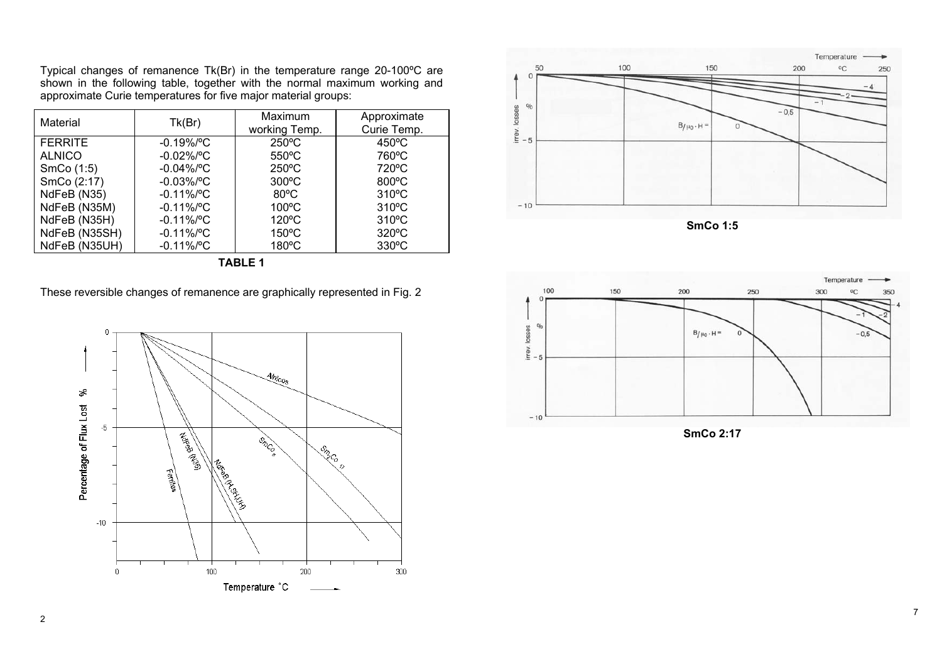Typical changes of remanence Tk(Br) in the temperature range 20-100ºC are shown in the following table, together with the normal maximum working and approximate Curie temperatures for five major material groups:

| Material       | Tk(Br)        | Maximum<br>working Temp. | Approximate<br>Curie Temp. |
|----------------|---------------|--------------------------|----------------------------|
| <b>FERRITE</b> | $-0.19\%$ /°C | $250^{\circ}$ C          | $450^{\circ}$ C            |
| <b>ALNICO</b>  | $-0.02\%$ /°C | $550^{\circ}$ C          | 760°C                      |
| SmCo (1:5)     | $-0.04\%$ /°C | $250^{\circ}$ C          | 720°C                      |
| SmCo (2:17)    | $-0.03\%$ /°C | $300^{\circ}$ C          | 800°C                      |
| NdFeB (N35)    | $-0.11\%$ /°C | $80^{\circ}$ C           | $310^{\circ}$ C            |
| NdFeB (N35M)   | $-0.11\%$ /°C | $100^{\circ}$ C          | $310^{\circ}$ C            |
| NdFeB (N35H)   | $-0.11\%$ /°C | 120°C                    | $310^{\circ}$ C            |
| NdFeB (N35SH)  | $-0.11\%$ /°C | $150^{\circ}$ C          | $320^{\circ}$ C            |
| NdFeB (N35UH)  | $-0.11\%$ /°C | $180^{\circ}$ C          | $330^{\circ}$ C            |

|  | . . |  |  |
|--|-----|--|--|
|--|-----|--|--|







**SmCo 1:5** 



**SmCo 2:17**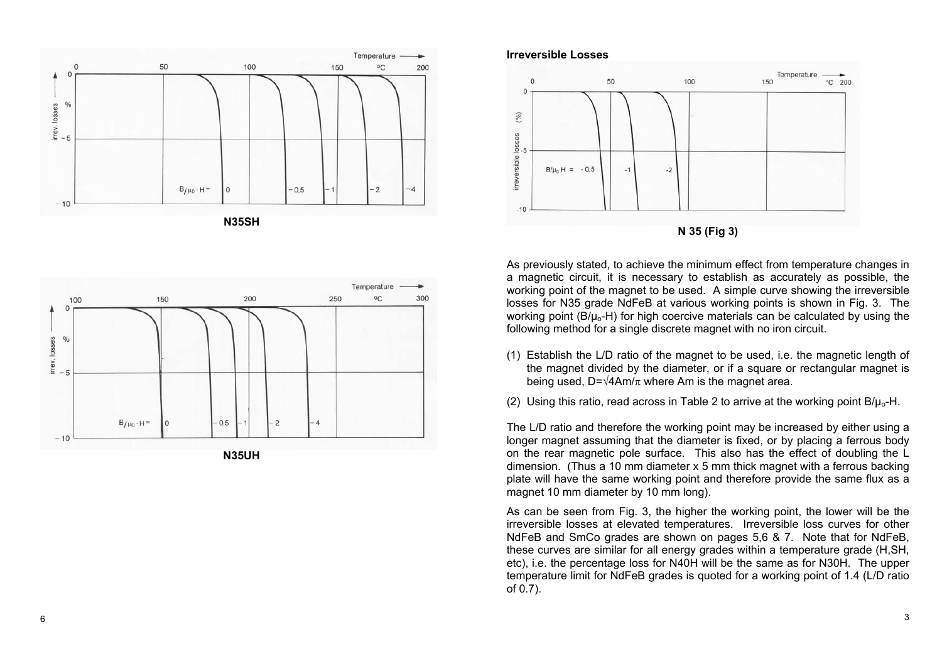



## **N35UH**

#### **Irreversible Losses**



As previously stated, to achieve the minimum effect from temperature changes in a magneti c circuit, it is necessary to establish as accurately as possible, the working point of the magnet to be used. A simple curve showing the irreversi ble losses for N35 grade NdFeB at various working points is shown in Fig. 3. The working point (B/ $\mu$ <sub>o</sub>-H) for high coercive materials can be calculated by using the followin g method for a single discrete magnet with n o iron circuit.

- (1) Establish the L/D ratio of the magnet to be used, i.e. the magnetic length of the magnet divided by the diameter, or if a square or rectangular magnet is being used, D= $\sqrt{4Am/\pi}$  where Am is the magnet area.
- (2) Using this ratio, read across in Table 2 to arrive at the working point B/ $\mu_{\rm o}$ -H.

The L/D ratio and therefore the working point may be increased by either using a longer magnet assuming that the diameter is fixed, or by placing a ferrous body on the rear magneti c pole surface. This also has the effect of doubling the L dimension. (Thus a 10 m m diameter x 5 mm thi ck magnet with a ferrous b acking plate will have the same working point and therefore provide the same flux as a magnet 10 m m diameter by 10 mm long).

As can be seen from Fig. 3, the higher the working point, the lower will be the irreversi ble losses at elevated temperatures. Irrev ersibl e loss curves for other NdFeB and SmCo grades are sho wn on pages 5,6 & 7. Note that for NdFeB, these curves are similar for all energy grades within a temperature grade (H,SH, etc), i.e. the percentage l oss for N40H will be the same as for N30H. The upper temperature limit for NdFeB grades is quoted for a working point of 1.4 (L/D ratio of 0.7).